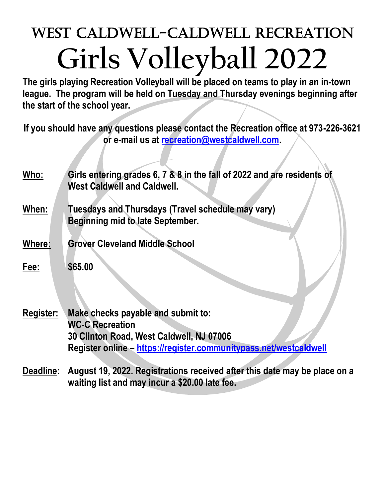## West Caldwell-Caldwell Recreation **Girls Volleyball 2022**

**The girls playing Recreation Volleyball will be placed on teams to play in an in-town league. The program will be held on Tuesday and Thursday evenings beginning after the start of the school year.**

**If you should have any questions please contact the Recreation office at 973-226-3621 or e-mail us at [recreation@westcaldwell.com.](mailto:recreation@westcaldwell.com)** 

| Who:   | Girls entering grades 6, 7 & 8 in the fall of 2022 and are residents of<br><b>West Caldwell and Caldwell.</b> |
|--------|---------------------------------------------------------------------------------------------------------------|
| When:  | Tuesdays and Thursdays (Travel schedule may vary)<br>Beginning mid to late September.                         |
| Where: | <b>Grover Cleveland Middle School</b>                                                                         |
| Fee:   | \$65.00                                                                                                       |

- **Register: Make checks payable and submit to: WC-C Recreation 30 Clinton Road, West Caldwell, NJ 07006 Register online – <https://register.communitypass.net/westcaldwell>**
- **Deadline: August 19, 2022. Registrations received after this date may be place on a waiting list and may incur a \$20.00 late fee.**